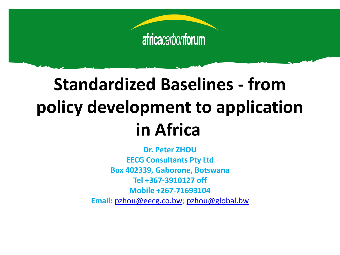

# **Standardized Baselines - from policy development to application in Africa**

**Dr. Peter ZHOU EECG Consultants Pty Ltd Box 402339, Gaborone, Botswana Tel +367-3910127 off Mobile +267-71693104 Email:** [pzhou@eecg.co.bw;](mailto:pzhou@eecg.co.bw) [pzhou@global.bw](mailto:pzhou@global.bw)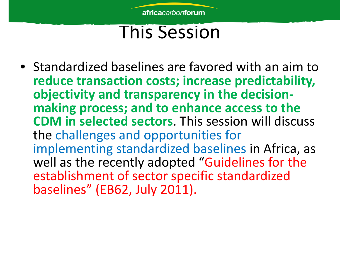#### This Session

• Standardized baselines are favored with an aim to **reduce transaction costs; increase predictability, objectivity and transparency in the decision- making process; and to enhance access to the CDM in selected sectors**. This session will discuss the challenges and opportunities for implementing standardized baselines in Africa, as well as the recently adopted "Guidelines for the establishment of sector specific standardized baselines" (EB62, July 2011).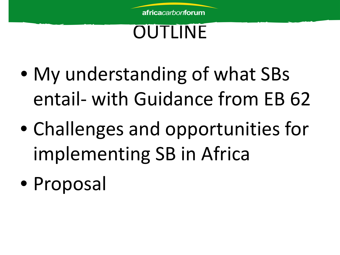

#### OUTLINE

- My understanding of what SBs entail- with Guidance from EB 62
- Challenges and opportunities for implementing SB in Africa
- Proposal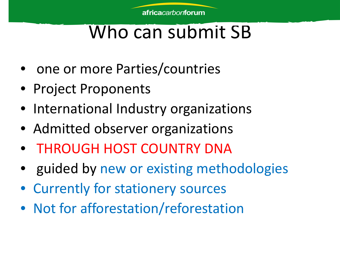## Who can submit SB

- one or more Parties/countries
- Project Proponents
- International Industry organizations
- Admitted observer organizations
- THROUGH HOST COUNTRY DNA
- guided by new or existing methodologies
- Currently for stationery sources
- Not for afforestation/reforestation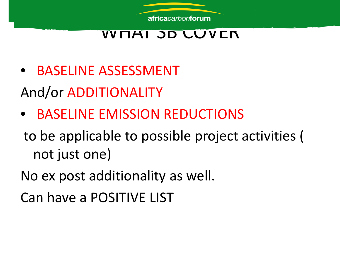#### WHAT JD CUVEN

- BASELINE ASSESSMENT And/or ADDITIONALITY
- BASELINE EMISSION REDUCTIONS
- to be applicable to possible project activities ( not just one)
- No ex post additionality as well.
- Can have a POSITIVE LIST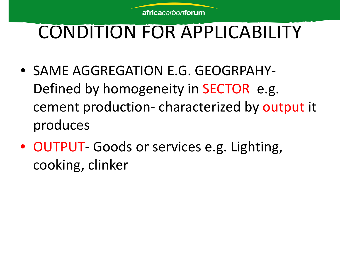

# CONDITION FOR APPLICABILITY

- SAME AGGREGATION E.G. GEOGRPAHY-Defined by homogeneity in SECTOR e.g. cement production- characterized by output it produces
- OUTPUT- Goods or services e.g. Lighting, cooking, clinker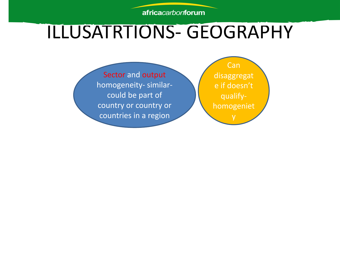#### ILLUSATRTIONS- GEOGRAPHY

Can disaggregat e if doesn't qualifyhomogeniet y

Sector and output homogeneity- similarcould be part of country or country or countries in a region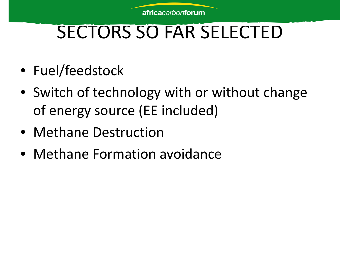# SECTORS SO FAR SELECTED

- Fuel/feedstock
- Switch of technology with or without change of energy source (EE included)
- Methane Destruction
- Methane Formation avoidance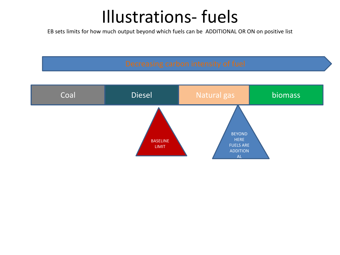#### Illustrations- fuels

EB sets limits for how much output beyond which fuels can be ADDITIONAL OR ON on positive list

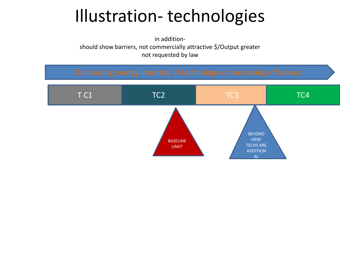### Illustration- technologies

in additionshould show barriers, not commercially attractive \$/Output greater not requested by law

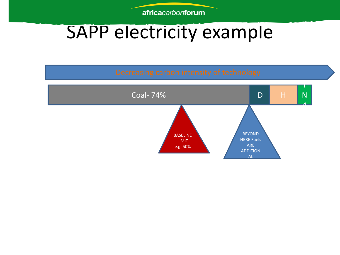### SAPP electricity example

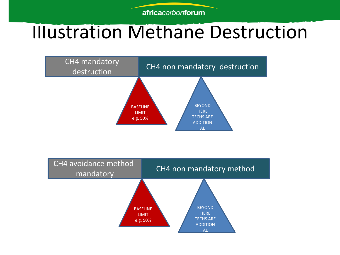#### Illustration Methane Destruction



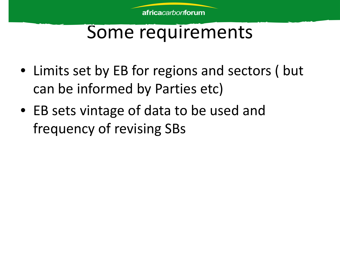#### Some requirements

- Limits set by EB for regions and sectors (but can be informed by Parties etc)
- EB sets vintage of data to be used and frequency of revising SBs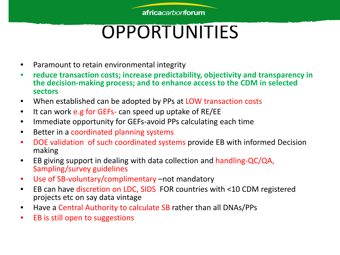# OPPORTUNITIES

- Paramount to retain environmental integrity
- **reduce transaction costs; increase predictability, objectivity and transparency in the decision-making process; and to enhance access to the CDM in selected sectors**
- When established can be adopted by PPs at LOW transaction costs
- It can work e.g for GEFs- can speed up uptake of RE/EE
- Immediate opportunity for GEFs-avoid PPs calculating each time
- Better in a coordinated planning systems
- DOE validation of such coordinated systems provide EB with informed Decision making
- EB giving support in dealing with data collection and handling-QC/QA, Sampling/survey guidelines
- Use of SB-voluntary/complimentary –not mandatory
- EB can have discretion on LDC, SIDS FOR countries with <10 CDM registered projects etc on say data vintage
- Have a Central Authority to calculate SB rather than all DNAs/PPs
- EB is still open to suggestions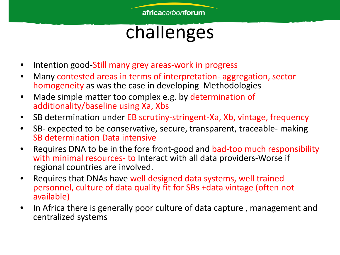## challenges

- Intention good-Still many grey areas-work in progress
- Many contested areas in terms of interpretation- aggregation, sector homogeneity as was the case in developing Methodologies
- Made simple matter too complex e.g. by determination of additionality/baseline using Xa, Xbs
- SB determination under EB scrutiny-stringent-Xa, Xb, vintage, frequency
- SB- expected to be conservative, secure, transparent, traceable- making SB determination Data intensive
- Requires DNA to be in the fore front-good and bad-too much responsibility with minimal resources- to Interact with all data providers-Worse if regional countries are involved.
- Requires that DNAs have well designed data systems, well trained personnel, culture of data quality fit for SBs +data vintage (often not available)
- In Africa there is generally poor culture of data capture , management and centralized systems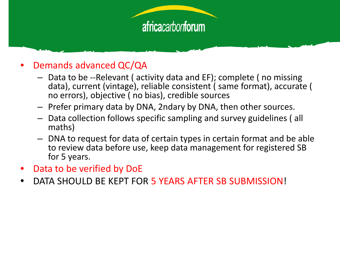#### • Demands advanced QC/QA

- Data to be --Relevant ( activity data and EF); complete ( no missing data), current (vintage), reliable consistent ( same format), accurate ( no errors), objective ( no bias), credible sources
- Prefer primary data by DNA, 2ndary by DNA, then other sources.
- Data collection follows specific sampling and survey guidelines ( all maths)
- DNA to request for data of certain types in certain format and be able to review data before use, keep data management for registered SB for 5 years.
- Data to be verified by DoE
- DATA SHOULD BE KEPT FOR 5 YEARS AFTER SB SUBMISSION!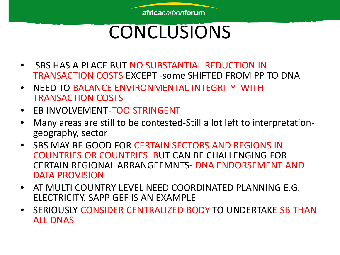## CONCLUSIONS

- SBS HAS A PLACE BUT NO SUBSTANTIAL REDUCTION IN TRANSACTION COSTS EXCEPT -some SHIFTED FROM PP TO DNA
- NEED TO BALANCE ENVIRONMENTAL INTEGRITY WITH TRANSACTION COSTS
- EB INVOLVEMENT-TOO STRINGENT
- Many areas are still to be contested-Still a lot left to interpretation-<br>geography, sector
- SBS MAY BE GOOD FOR CERTAIN SECTORS AND REGIONS IN COUNTRIES OR COUNTRIES BUT CAN BE CHALLENGING FOR CERTAIN REGIONAL ARRANGEEMNTS- DNA ENDORSEMENT AND DATA PROVISION
- AT MULTI COUNTRY LEVEL NEED COORDINATED PLANNING E.G. ELECTRICITY. SAPP GEF IS AN EXAMPLE
- SERIOUSLY CONSIDER CENTRALIZED BODY TO UNDERTAKE SB THAN ALL DNAS